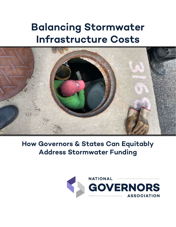# **Balancing Stormwater Infrastructure Costs**



**How Governors & States Can Equitably Address Stormwater Funding**

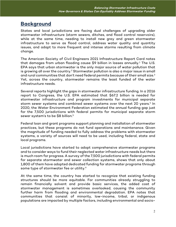## **Background**

States and local jurisdictions are facing dual challenges of upgrading older stormwater infrastructure (storm sewers, ditches, and flood control reservoirs), while at the same time, needing to install new grey and green stormwater infrastructure to serve as flood control, address water quality and quantity issues, and adapt to more frequent and intense storms resulting from climate change.

The American Society of Civil Engineers 2021 Infrastructure Report Card notes that damages from urban flooding cause  $\Diamond$ 9 billion in losses annually.<sup>[1](#page-16-0)</sup> The U.S. EPA says that urban stormwater is the only major source of water pollution that is growing all over the country.<sup>[2](#page-16-1)</sup> Stormwater pollution is also a major issue in small and rural communities that don't need federal permits because of their small size. [3](#page-16-2) Yet, across the country, stormwater remains the least funded of the water infrastructure needs.

Several reports highlight the gaps in stormwater infrastructure funding. In a 2016 report to Congress, the U.S. EPA estimated that \$67.2 billion is needed for stormwater infrastructure and program investments for municipal separate storm sewer systems and combined sewer systems over the next 20 years.<sup>[4](#page-16-3)</sup> In 2020, the Water Environment Federation estimated the annual funding gap just for the 7,500 jurisdictions with federal permits for municipal separate storm sewer system's to be \$8 billion.<sup>5</sup>

Federal loan and grant programs support planning and installation of stormwater practices, but these programs do not fund operations and maintenance. Given the magnitude of funding needed to fully address the problems with stormwater systems, a variety of sources will need to be used, including federal, state and local programs.

Local jurisdictions have started to adopt comprehensive stormwater programs and to consider ways to fund their neglected water infrastructure needs but there is much room for progress. A survey of the 7,500 jurisdictions with federal permits for separate stormwater and sewer collection systems, shows that only about 1,800 of them have adopted dedicated funding for stormwater programs through some type of stormwater fee or utility.<sup>[6](#page-16-5)</sup>

At the same time, the country has started to recognize that existing funding structures should be more equitable. For communities already struggling to remain financially solvent and provide basic services, the added cost of stormwater management is sometimes overlooked, causing the community further harm from flooding and environmental degradation. EPA notes that communities that consist of minority, low-income, tribal, or indigenous populations are impacted by multiple factors, including environmental and socio-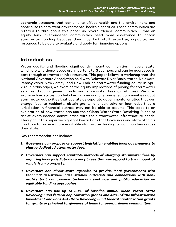economic stressors, that combine to affect health and the environment and contribute to persistent environmental health disparities. These communities are referred to throughout this paper as "overburdened" communities.<sup>[7](#page-16-6)</sup> From an equity lens, overburdened communities need more assistance to obtain stormwater funding because they may lack staff expertise, capacity, and resources to be able to evaluate and apply for financing options.

## **Introduction**

Water quality and flooding significantly impact communities in every state, which are why these issues are important to Governors, and can be addressed in part through stormwater infrastructure. This paper follows a workshop that the National Governors Association held with Delaware River Basin states, Delaware, Pennsylvania, New Jersey, and New York on stormwater funding equity in April 2021.<sup>[8](#page-16-7)</sup> In this paper, we examine the equity implications of paying for stormwater services through general funds and stormwater fees (or utilities). We also examine how states can help low income and overburdened communities adopt stormwater authorities that operate as separate governmental entities that can charge fees to residents, obtain grants, and can take on loan debt that a jurisdiction in financial distress may not be able to assume. This leads to an exploration of how states can use their Clean Water State Revolving Funds to assist overburdened communities with their stormwater infrastructure needs. Throughout this paper we highlight key actions that Governors and state officials can take to provide more equitable stormwater funding to communities across their state.

Key recommendations include:

- *1. Governors can propose or support legislation enabling local governments to charge dedicated stormwater fees.*
- *2. Governors can support equitable methods of charging stormwater fees by requiring local jurisdictions to adopt fees that correspond to the amount of runoff from a property.*
- *3. Governors can direct state agencies to provide local governments with technical assistance, case studies, outreach and connections with nonprofits that can provide technical assistance and public education on equitable funding approaches.*
- *4. Governors can use up to 30% of baseline annual Clean Water State Revolving Fund federal capitalization grants and 49% of the Infrastructure Investment and Jobs Act State Revolving Fund federal capitalization grants for grants or principal forgiveness of loans for overburdened communities.*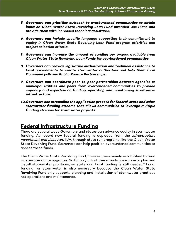- *5. Governors can prioritize outreach to overburdened communities to obtain input on Clean Water State Revolving Loan Fund Intended Use Plans and provide them with increased technical assistance.*
- *6. Governors can include specific language supporting their commitment to equity in Clean Water State Revolving Loan Fund program priorities and project selection criteria.*
- **7.** *Governors can increase the amount of funding per project available from Clean Water State Revolving Loan Funds for overburdened communities.*
- *8. Governors can provide legislative authorization and technical assistance to local governments to create stormwater authorities and help them form Community-Based Public Private Partnerships.*
- *9. Governors can coordinate peer-to-peer partnerships between agencies or municipal utilities and peers from overburdened communities to provide capacity and expertise on funding, operating and maintaining stormwater infrastructure.*
- *10.Governors can streamline the application process for federal, state and other stormwater funding streams that allows communities to leverage multiple funding streams for stormwater projects.*

## **Federal Infrastructure Funding**

There are several ways Governors and states can advance equity in stormwater funding. As record new federal funding is deployed from the Infrastructure Investment and Jobs Act, IIJA, through state run programs like the Clean Water State Revolving Fund, Governors can help position overburdened communities to access these funds.

The Clean Water State Revolving Fund, however, was mainly established to fund wastewater utility upgrades. So far only 3% of these funds have gone to plan and install stormwater practices, so state and local funding is still needed.<sup>[9](#page-16-8)</sup> Local funding for stormwater is also necessary because the Clean Water State Revolving Fund only supports planning and installation of stormwater practices not operations and maintenance.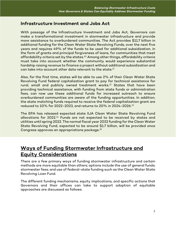## **Infrastructure Investment and Jobs Act**

With passage of the Infrastructure Investment and Jobs Act, Governors can make a transformational investment in stormwater infrastructure and provide more assistance to overburdened communities. The Act provides \$11.7 billion in additional funding for the Clean Water State Revolving Funds, over the next five years and requires 49% of the funds to be used for additional subsidization, in the form of grants and principal forgiveness of loans, for communities that meet affordability criteria set by the states.<sup>[10](#page-16-9)</sup> Among other things, affordability criteria must take into account whether the community would experience substantial hardship raising revenue to finance a project without additional subsidization and can take into account other data relevant to the state.<sup>[11](#page-16-10)</sup>

Also, for the first time, states will be able to use 2% of their Clean Water State Revolving Fund federal capitalization grant to pay for technical assistance for rural, small and publicly owned treatment works.<sup>[12](#page-16-11)</sup> States that have been providing technical assistance, with funding from state funds or administration fees, can now use these additional funds for increased outreach to ensure overburdened communities are aware of the funding opportunities. In addition, the state matching funds required to receive the federal capitalization grant are reduced to 10% for 2022-2023, and returns to 20% in 2024-2026.[13](#page-17-0)

The EPA has released expected state IIJA Clean Water State Revolving Fund allocations for 2022.[14](#page-17-1) Funds are not expected to be received by states and utilities until spring 2022. The normal fiscal year 2022 funding for the Clean Water State Revolving Fund, expected to be around \$1.7 billion, will be provided once Congress approves an appropriations package.[15](#page-17-2)

# **Ways of Funding Stormwater Infrastructure and Equity Considerations**

There are a few primary ways of funding stormwater infrastructure and certain methods are more equitable than others; options include the use of general funds; stormwater fees; and use of federal-state funding such as the Clean Water State Revolving Loan Fund.

The different funding mechanisms, equity implications, and specific actions that Governors and their offices can take to support adoption of equitable approaches are discussed as follows.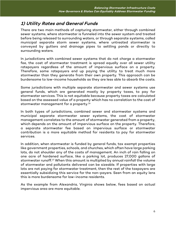## **1) Utility Rates and General Funds**

There are two main methods of capturing stormwater, either through combined sewer systems, where stormwater is funneled into the sewer system and treated before being released to surrounding waters, or through separate systems, called municipal separate storm sewer systems, where untreated stormwater is conveyed by gutters and drainage pipes to settling ponds or directly to surrounding waters.

In jurisdictions with combined sewer systems that do not charge a stormwater fee, the cost of stormwater treatment is spread equally over all sewer utility ratepayers regardless of the amount of impervious surface on a property. Therefore, some ratepayers end up paying the utility to treat much more stormwater than they generate from their own property. This approach can be burdensome to low-income households as they are less able to absorb the costs.

Some jurisdictions with multiple separate stormwater and sewer systems use general funds, which are generated mostly by property taxes, to pay for stormwater services. This is not equitable because property taxes are calculated based on the assessed value of a property which has no correlation to the cost of stormwater management for a property. $^{16}$  $^{16}$  $^{16}$ 

In both types of jurisdictions, combined sewer and stormwater systems and municipal separate stormwater sewer systems, the cost of stormwater management correlates to the amount of stormwater generated from a property, which depends on the amount of impervious surface on the property. Therefore, a separate stormwater fee based on impervious surface or stormwater contribution is a more equitable method for residents to pay for stormwater services.

In addition, when stormwater is funded by general funds, tax exempt properties like government properties, schools, and churches, which often have large parking lots, do not shoulder any of the costs of management. An inch of rain falling on one acre of hardened surface, like a parking lot, produces 27,000 gallons of stormwater runoff.[17](#page-17-4) When this amount is multiplied by annual rainfall the volume of stormwater and pollutants delivered can be sizeable. If properties with large lots are not paying for stormwater treatment, then the rest of the taxpayers are essentially subsidizing this service for the non-payers. Seen from an equity lens this is more burdensome for low-income residents.

As the example from Alexandria, Virginia shows below, fees based on actual impervious area are more equitable.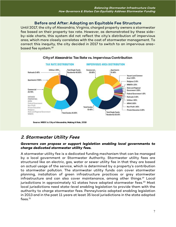### **Before and After: Adopting an Equitable Fee Structure**

Until 2017, the city of Alexandria, Virginia, charged property owners a stormwater fee based on their property tax rate. However, as demonstrated by these sideby-side charts, this system did not reflect the city's distribution of impervious area, which more closely correlates with the cost of stormwater management. To correct this inequity, the city decided in 2017 to switch to an impervious area-based fee system.<sup>[18](#page-17-5)</sup>



## **2. Stormwater Utility Fees**

#### *Governors can propose or support legislation enabling local governments to charge dedicated stormwater utility fees.*

A stormwater utility fee is a dedicated funding mechanism that can be managed by a local government or Stormwater Authority. Stormwater utility fees are structured like an electric, gas, water or sewer utility fee in that they are based on actual usage of the service, which is determined by a property's contribution to stormwater pollution. The stormwater utility funds can cover stormwater planning, installation of green infrastructure practices or grey stormwater infrastructure and can also cover maintenance, among other things.<sup>[19](#page-17-6)</sup> Local jurisdictions in approximately 41 states have adopted stormwater fees.<sup>[20](#page-17-7)</sup> Most local jurisdictions need state-level enabling legislation to provide them with the authority to charge stormwater fees. Pennsylvania adopted enabling legislation in 2013 and in the past 11 years at least 35 local jurisdictions in the state adopted  $fees.<sup>21</sup>$  $fees.<sup>21</sup>$  $fees.<sup>21</sup>$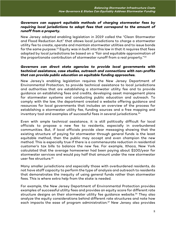#### *Governors can support equitable methods of charging stormwater fees by requiring local jurisdictions to adopt fees that correspond to the amount of runoff from a property.*

New Jersey adopted enabling legislation in 2019 called the "Clean Stormwater and Flood Reduction Act" that allows local jurisdictions to charge a stormwater utility fee to create, operate and maintain stormwater utilities and to issue bonds for the same purpose.<sup>[22](#page-17-9)</sup> Equity was in built into this law in that it requires that fees adopted by local jurisdictions be based on a "fair and equitable approximation of the proportionate contribution of stormwater runoff from a real property."<sup>23</sup>

#### *Governors can direct state agencies to provide local governments with technical assistance, case studies, outreach and connections with non-profits that can provide public education on equitable funding approaches.*

New Jersey's enabling legislation requires the New Jersey Department of Environmental Protection, to provide technical assistance to local jurisdictions and authorities that are establishing a stormwater utility fee and to provide guidance on establishing fees and credits, developing asset management plans for stormwater systems and conducting public education and outreach. To comply with the law, the department created a website offering guidance and resources for local governments that includes an overview of the process for establishing a stormwater utility fee, funding sources and a free mapping and inventory tool and examples of successful fees in several jurisdictions.<sup>[24](#page-17-11)</sup>

Even with ample technical assistance, it is still politically difficult for local officials to propose a new fee to residents, especially in overburdened communities. But, if local officials provide clear messaging showing that the existing structure of paying for stormwater through general funds is the least equitable method, then the public may accept and even champion the new method. This is especially true if there is a commensurate reduction in residential customer's tax bills to balance the new fee. For example, Ithaca, New York calculated that the average homeowner had been paying about \$100/year for stormwater services and would pay half that amount under the new stormwater user fee structure[.25](#page-17-12)

Many smaller jurisdictions and especially those with overburdened residents, do not have staff capacity to perform the type of analysis and outreach to residents that demonstrates the inequity of using general funds rather than stormwater fees. This is where extra help from the state is needed.

For example, the New Jersey Department of Environmental Protection provides examples of successful utility fees and provides an equity score for different rate structure designs on their stormwater utility fee guidance website.<sup>[26](#page-17-13)</sup> They also analyze the equity considerations behind different rate structures and note how each impacts the ease of program administration.<sup>[27](#page-17-14)</sup> New Jersey also provides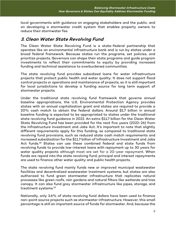local governments with guidance on engaging stakeholders and the public, and on developing a stormwater credit system that enables property owners to reduce their stormwater fee.

## **3. Clean Water State Revolving Fund**

The Clean Water State Revolving Fund is a state-federal partnership that operates like an environmental infrastructure bank and is run by states under a broad federal framework. Because states run the programs, set policies, and prioritize projects, Governors can shape their state programs and guide program investments to reflect their commitments to equity by providing increased funding and technical assistance to overburdened communities.

The state revolving fund provides subsidized loans for water infrastructure projects that protect public health and water quality. It does not support flood control projects or operations and maintenance of projects, so it is still important for local jurisdictions to develop a funding source for long term support of stormwater projects.

Under the traditional state revolving fund framework that governs annual baseline appropriations, the U.S. Environmental Protection Agency provides states with an annual capitalization grant and states are required to provide a 20% cash match to obtain the federal dollars. Around \$1.7 billion in annual baseline funding is expected to be appropriated to states under the traditional state revolving fund guidance in 2022. An extra \$11.7 billion for the Clean Water State Revolving Fund has been provided for the next five years (2022-26) from the Infrastructure Investment and Jobs Act. It's important to note that slightly different requirements apply for this funding, as compared to traditional state revolving fund provisions, such as reduced state cash match requirements and increased subsidization for the \$11.7 billion of Infrastructure Investment and Jobs Act funds.<sup>[28](#page-17-15)</sup> States can use these combined federal and state funds from revolving funds to provide low-interest loans with repayment up to 30 years for water quality projects although most are set for a 20-year repayment. When funds are repaid into the state revolving fund, principal and interest repayments are used to finance other water quality and public health projects.

The state revolving fund mainly funds new or improved municipal wastewater facilities and decentralized wastewater treatment systems, but states are also authorized to fund green stormwater infrastructure that replicates natural processes like green roofs, rain gardens and natural filters like wetlands and tree canopy. It can also fund grey stormwater infrastructure like pipes, storage, and treatment systems[.29](#page-17-16)

Nationally, only 3.6% of state revolving fund dollars have been used to finance non-point source projects such as stormwater infrastructure. However, this small percentage is still an important source of funds for stormwater. And, because the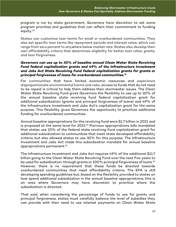program is run by state government, Governors have discretion to set some program priorities and guidelines that can reflect their commitment to funding equity.[30](#page-17-17)

States can customize loan terms for small or overburdened communities. They also set specific loan terms like repayment periods and interest rates, which can range from zero percent to anywhere below market rate. States also develop their own affordability criteria that determines eligibility for better loan rates, grants, and loan forgiveness.

#### *Governors can use up to 30% of baseline annual Clean Water State Revolving Fund federal capitalization grants and 49% of the Infrastructure Investment and Jobs Act State Revolving Fund federal capitalization grants for grants or principal forgiveness of loans for overburdened communities.[31](#page-17-18)*

For communities that have limited economic resources and experience disproportionate environmental harms and risks, access to funds that do not need to be repaid is critical to help them address their stormwater issues. The Clean Water State Revolving Fund gives Governors the flexibility to use up to 30% of the annual baseline state revolving fund federal capitalization grant for additional subsidization (grants and principal forgiveness of loans) and 49% of the Infrastructure Investment and Jobs Act's capitalization grant for the same purpose. This flexibility gives Governors the opportunity to prioritize additional funding for overburdened communities.

Annual baseline appropriations for the revolving fund were \$1.7 billion in 2021 and is proposed at the same level for 2022.[32](#page-18-0) Previous appropriations bills mandated that states use 10% of the federal state revolving fund capitalization grant for additional subsidization to communities that meet state developed affordability criteria, but also allowed states to use 30% for this purpose. The Infrastructure Investment and Jobs Act made this subsidization mandate for annual baseline appropriations permanent.[33](#page-18-1)

The Infrastructure Investment and Jobs Act requires 49% of the additional \$11.7 billion going to the Clean Water State Revolving Fund over the next five years to be used for subsidization, through grants or 100% principal forgiveness of loans. [34](#page-18-2) However, there is no requirement that these funds be directed towards overburdened communities that meet affordability criteria. The EPA is still developing spending guidelines but, based on the flexibility provided to states on how spend additional subsidization in the annual baseline appropriations, this is an area where Governors may have discretion to prioritize where the subsidization is directed.

That said, when considering the percentage of funds to use for grants and principal forgiveness, states must carefully balance the level of subsidies they can provide with their need to use interest payments on Clean Water State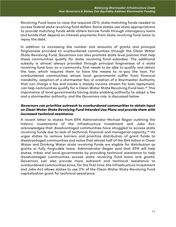Revolving Fund loans to raise the required 20% state matching funds needed to access federal state revolving fund dollars. Some states use state appropriations to provide matching funds while others borrow funds through interagency loans and bonds that depend on interest payments from state revolving fund loans to repay the debt.

In addition to increasing the number and amounts of grants and principal forgiveness provided to overburdened communities through the Clean Water State Revolving Fund, Governors can also promote state level policies that help these communities qualify for state revolving fund subsidies. The additional subsidy is almost always provided through principal forgiveness of a state revolving fund loan, so a community first needs to be able to qualify and obtain the loan, which requires them to have the means to re-pay the loan. For overburdened communities whose local governments suffer from financial instability, adoption of a stormwater fee, or creation of a Stormwater Authority that can charge a fee and create a steady income stream for loan repayment, can help communities qualify for a Clean Water State Revolving Fund loan.<sup>[35](#page-18-3)</sup> This importance of local governments having state enabling authority to adopt a fee and a stormwater authority, and the Governors role, is discussed below.

#### *Governors can prioritize outreach to overburdened communities to obtain input on Clean Water State Revolving Fund Intended Use Plans and provide them with increased technical assistance.*

A recent letter to states from EPA Administrator Michael Regan outlining the historic investments of the Infrastructure Investment and Jobs Act, acknowledges that disadvantaged communities have struggled to access state revolving funds due to lack of technical, financial and managerial capacity. [36](#page-18-4) He urges states to remove barriers and prioritize distribution of grant funds to disadvantaged communities and notes that almost half of the \$44 billion in Clean Water and Drinking Water state revolving funds are eligible for distribution as grants or fully forgivable loans. Administrator Regan said that EPA will help states, tribes and local governments by providing technical assistance to help disadvantaged communities access state revolving fund loans and grants. Governors can also provide more outreach and technical assistance to overburdened communities since, for the first time, the Infrastructure Investment and Jobs Act allows states to use 2% of the Clean Water State Revolving Fund capitalization grant for technical assistance.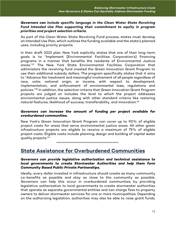#### *Governors can include specific language in the Clean Water State Revolving Fund Intended Use Plan supporting their commitment to equity in program priorities and project selection criteria.*

As part of the Clean Water State Revolving Fund process, states must develop an Intended Use Plan, which outlines the funding available and the state's planned uses, including priority projects.

In their draft 2022 plan, New York explicitly states that one of their long-term goals is to "Implement [Environmental Facilities Corporation's] financing programs in a manner that benefits the residents of Environmental Justice areas."[37](#page-18-5) The New York State Environmental Facilities Corporation that administers the revolving fund created the Green Innovation Grant Program to use their additional subsidy dollars. The program specifically states that it aims to "Advance fair treatment and meaningful involvement of all people regardless of race, color, national origin, or income, with respect to development, implementation, and enforcement of environmental laws, regulations and policies."[38](#page-18-6) In addition, the selection criteria that Green Innovation Grant Program projects are judged on includes the level to which the project addresses environmental justice issues, along with other standard criteria like restoring natural features, likelihood of success, transferability, and innovation. $^{\rm 39}$  $^{\rm 39}$  $^{\rm 39}$ 

#### *Governors can increase the amount of funding per project available for overburdened communities.*

New York's Green Innovation Grant Program can cover up to 90% of eligible project costs for areas that serve environmental justice areas. All other green infrastructure projects are eligible to receive a maximum of 75% of eligible project costs. Eligible costs include planning, design and building of capital water quality projects.[40](#page-18-8)

# **State Assistance for Overburdened Communities**

#### *Governors can provide legislative authorization and technical assistance to local governments to create Stormwater Authorities and help them form Community Based Public Private Partnerships.*

Ideally, every dollar invested in infrastructure should create as many community co-benefits as possible and stay as close to the community as possible. Governors can help this occur in overburdened communities by providing legislative authorization to local governments to create stormwater authorities that operate as separate governmental entities and can charge fees to property owners to deliver stormwater services for one or more municipalities. Depending on the authorizing legislation, authorities may also be able to raise grant funds,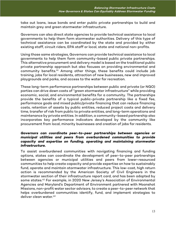take out loans, issue bonds and enter public private partnerships to build and maintain grey and green stormwater infrastructure.

Governors can also direct state agencies to provide technical assistance to local governments to help them form stormwater authorities. Delivery of this type of technical assistance can be coordinated by the state and provided by either existing staff, circuit riders, EPA staff or local, state and national non-profits.

Using those same strategies, Governors can provide technical assistance to local governments to help them form community-based public private partnerships. This alternative procurement and delivery model is based on the traditional public private partnership approach but also focuses on providing environmental and community benefits.[41](#page-18-9) Among other things, these benefits could include job training, jobs for local residents, attraction of new businesses, new and improved playgrounds and parks, and access to the water for recreation.

These long-term performance partnerships between public and private (or NGO) parties can drive down costs of "green stormwater infrastructure" while providing economic, social, and environmental benefits for a community. The partnerships provide the benefits of a typical public-private partnership like a fixed fee, performance goals and mixed public/private financing that can reduce financing costs, retention of assets by public entities, reduced project costs and delivery time, transfer of risk from public to private entities, and long-term operations and maintenance by private entities. In addition, a community-based partnership also incorporates key performance indicators developed by the community like procurement from local, minority businesses and creation of jobs for residents.

#### *Governors can coordinate peer-to-peer partnerships between agencies or municipal utilities and peers from overburdened communities to provide capacity and expertise on funding, operating and maintaining stormwater infrastructure.*

To assist overburdened communities with navigating financing and funding options, states can coordinate the development of peer-to-peer partnerships between agencies or municipal utilities and peers from lower-resourced communities to help create capacity and provide expertise on how to sustainably fund, operate and maintain stormwater infrastructure. This low-cost, high return action is recommended by the American Society of Civil Engineers in the stormwater section of their infrastructure report card, and has been adopted by some states.[42](#page-18-10) For example, in 2020 New Jersey's Association of Environmental Agencies and Maryland's Department of Environment partnered with Moonshot Missions, non-profit water sector advisors, to create a peer-to-peer network that helps overburdened communities identify, fund, and implement strategies to deliver clean water.<sup>[43](#page-18-11)</sup>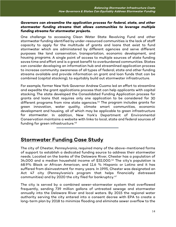#### *Governors can streamline the application process for federal, state, and other stormwater funding streams that allows communities to leverage multiple funding streams for stormwater projects.*

One challenge to accessing Clean Water State Revolving Fund and other stormwater funding identified by under-resourced communities is the lack of staff capacity to apply for the multitude of grants and loans that exist to fund stormwater which are administered by different agencies and serve different purposes like land conservation, transportation, economic development, and housing programs. A single point of access to multiple sources of state funding saves time and effort and is a great benefit to overburdened communities. States can consider developing an information hub and streamlined application process to increase community awareness of all types of federal, state and other funding streams available and provide information on grant and loan funds that can be combined (capital stacking), to equitably build out stormwater infrastructure.

For example, former New York Governor Andrew Cuomo led an effort to streamline and expedite the grant applications process that can help applicants with capital stacking. The state developed the Consolidated Funding Application process for grants and loans that requires only one application to be considered for 30 different programs from nine state agencies. [44](#page-18-12) The program includes grants for green innovation, water quality, climate smart communities, economic development and housing, all of which may be applicable to green infrastructure for stormwater. In addition, New York's Department of Environmental Conservation maintains a website with links to local, state and federal sources of funding for green infrastructure.<sup>[45](#page-18-13)</sup>

## **Stormwater Funding Case Study**

The city of Chester, Pennsylvania, required many of the above-mentioned forms of support to establish a dedicated funding source to address their stormwater needs. Located on the banks of the Delaware River, Chester has a population of 34,000 and a median household income of \$32,000.<sup>[46](#page-18-14)</sup> The city's population is 68.9% Black or African American, and 11.6 % Hispanic or Latino and it has suffered from disinvestment for many years. In 1995, Chester was designated an Act 47 city (Pennsylvania's program that helps financially distressed communities) and by 2020 the city filed for bankruptcy.<sup>[47](#page-18-15)</sup>

The city is served by a combined sewer-stormwater system that overflowed frequently, sending 739 million gallons of untreated sewage and stormwater annually into the Delaware River and local waters. By 2015 the regional water authority serving the city entered into a consent decree with EPA to create a long-term plan by 2018 to minimize flooding and eliminate sewer overflow to the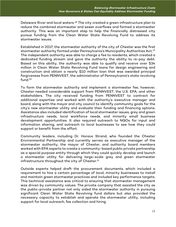Delaware River and local waters.<sup>[48](#page-19-0)</sup> The city created a green infrastructure plan to reduce the combined stormwater and sewer overflows and formed a stormwater authority. This was an important step to help the financially distressed city pursue funding from the Clean Water State Revolving Fund to address its stormwater issues.

Established in 2017, the stormwater authority of the city of Chester was the first stormwater authority formed under Pennsylvania's Municipality Authorities Act. [49](#page-19-1) The independent authority was able to charge a fee to residents, which created a dedicated funding stream and gave the authority the ability to re-pay debt. Based on this ability, the authority was able to qualify and receive over \$34 million in Clean Water State Revolving Fund loans for design engineering and construction and obtain a nearly \$10 million loan that was awarded principal forgiveness from PENNVEST, the administrator of Pennsylvania's state revolving fund. [50](#page-19-2)

To form the stormwater authority and implement a stormwater fee, however, Chester needed considerable support from PENNVEST, the U.S. EPA, and other stakeholders. The city received funding from PENNVEST to contract for additional expertise and worked with the authority's executive manager and board, along with the mayor and city council to identify community goals for the city's new stormwater utility and evaluate their funding and financing options. Assistance also included identification of local stormwater issues, grey and green infrastructure needs, local workforce needs, and minority small business development opportunities. It also required outreach to NGOs for input and information sharing, and outreach to local businesses to see how they could support or benefit from the effort.

Community leaders, including Dr. Horace Strand, who founded the Chester Environmental Partnership and currently serves as executive manager of the stormwater authority, the mayor of Chester, and authority board members worked with EPA experts to create a community-based public private partnership as a special purpose entity through which they could quickly develop and launch a stormwater utility for delivering large-scale grey and green stormwater infrastructure throughout the city of Chester. $^{\rm 51}$  $^{\rm 51}$  $^{\rm 51}$ 

Outside experts helped draft the procurement documents, which included a requirement to hire a certain percentage of local, minority businesses to install and maintain green stormwater practices and included key performance targets. This technical assistance was critical to ensuring that stormwater management was driven by community values. The private company that assisted the city as the public-private partner not only aided the stormwater authority in pursuing significant Clean Water State Revolving fund dollars but also provided the necessary capacity to establish and operate the stormwater utility, including support for local outreach, fee collection and hiring.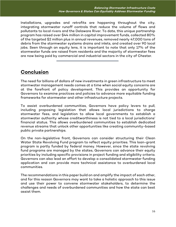Installations, upgrades and retrofits are happening throughout the city, integrating stormwater runoff controls that reduce the volume of flows and pollutants to local rivers and the Delaware River. To date, this unique partnership program has raised over \$44 million in capital improvement funds, collected 80% of the targeted \$2 million plus in annual revenues, removed nearly 47,000 tons of debris from the stormwater systems drains and inlets, and created over 90 local jobs. Seen through an equity lens, it is important to note that only 17% of the stormwater funds are raised from residents and the majority of stormwater fees are now being paid by commercial and industrial sectors in the city of Chester.

# **Conclusion**

The need for billions of dollars of new investments in green infrastructure to meet stormwater management needs comes at a time when social equity concerns are at the forefront of policy development. This provides an opportunity for Governors to examine practices and policies to advance more equitable funding frameworks for stormwater and other infrastructure projects.

To assist overburdened communities, Governors have policy levers to pull, including proposing legislation that allows local jurisdictions to charge stormwater fees, and legislation to allow local governments to establish a stormwater authority whose creditworthiness is not tied to a local jurisdictions' financial status. This allows overburdened communities to establish dedicated revenue streams that unlock other opportunities like creating community-based public private partnerships.

On the non-legislative front, Governors can consider structuring their Clean Water State Revolving Fund program to reflect equity priorities. This loan-grant program is partly funded by federal money. However, since the state revolving fund programs are managed by the states, Governors can advance their equity priorities by including specific provisions in project funding and eligibility criteria. Governors can also lead an effort to develop a consolidated stormwater funding application and can provide more technical assistance to overburdened local communities.

The recommendations in this paper build on and amplify the impact of each other, and for this reason Governors may want to take a holistic approach to this issue and use their power to convene stormwater stakeholders, to determine the challenges and needs of overburdened communities and how the state can best assist them.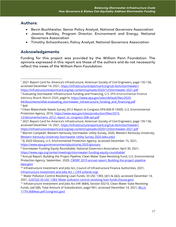## **Authors:**

- Bevin Buchheister, Senior Policy Analyst, National Governors Association
- Jessica Rackley, Program Director, Environment and Energy, National Governors Association
- Timothy Schoonhoven, Policy Analyst, National Governors Association

## **Acknowledgements**:

Funding for this project was provided by the William Penn Foundation. The opinions expressed in this report are those of the authors and do not necessarily reflect the views of the William Penn Foundation.

<span id="page-16-0"></span><sup>1</sup> 2021 Report Card for America's Infrastructure, American Society of Civil Engineers, page 135-136, accessed December 14, 2021, [https://infrastructurereportcard.org/cat-item/stormwater/;](https://infrastructurereportcard.org/cat-item/stormwater/) <https://infrastructurereportcard.org/wp-content/uploads/2020/12/Stormwater-2021.pdf>

<span id="page-16-1"></span> $2$  Evaluating Stormwater Infrastructure Funding and Financing, U.S. EPA Environmental Finance Advisory Board, March 2020, page14, [https://www.epa.gov/sites/default/files/2020-](https://www.epa.gov/sites/default/files/2020-04/documents/efab-evaluating_stormwater_infrastructure_funding_and_financing.pdf) [04/documents/efab-evaluating\\_stormwater\\_infrastructure\\_funding\\_and\\_financing.pdf](https://www.epa.gov/sites/default/files/2020-04/documents/efab-evaluating_stormwater_infrastructure_funding_and_financing.pdf)

<span id="page-16-2"></span> $3$  Ibid

<span id="page-16-3"></span><sup>4</sup> Clean Watersheds Needs Survey 2012 Report to Congress EPA-830-R-15005, U.S. Environmental Protection Agency, 2016, [https://www.epa.gov/sites/production/files/2015-](https://www.epa.gov/sites/production/files/2015-12/documents/cwns_2012_report_to_congress-508-opt.pdf)

[<sup>12/</sup>documents/cwns\\_2012\\_report\\_to\\_congress-508-opt.pdf](https://www.epa.gov/sites/production/files/2015-12/documents/cwns_2012_report_to_congress-508-opt.pdf)

<span id="page-16-4"></span><sup>5</sup> 2021 Report Card for America's Infrastructure, American Society of Civil Engineers, page 135-136, accessed December 14, 2021, [https://infrastructurereportcard.org/cat-item/stormwater/;](https://infrastructurereportcard.org/cat-item/stormwater/) <https://infrastructurereportcard.org/wp-content/uploads/2020/12/Stormwater-2021.pdf>

<span id="page-16-5"></span><sup>6</sup> Warren Campbell, Western Kentucky Stormwater Utility Survey, 2020, Western Kentucky University, [Western Kentucky University Stormwater Utility Survey 2020 \(wku.edu\)](https://digitalcommons.wku.edu/cgi/viewcontent.cgi?article=1002&context=seas_faculty_pubs)

<span id="page-16-6"></span> $7$  EJ 2020 Glossary, U.S. Environmental Protection Agency, accessed December 15, 2021, <https://www.epa.gov/environmentaljustice/ej-2020-glossary>

<span id="page-16-7"></span><sup>8</sup> Stormwater Funding Equity Roundtable, National Governors Association, April 30, 2021, <https://www.nga.org/center/meetings/stormwater-funding-equity-roundtable/>

<span id="page-16-8"></span><sup>9</sup> Annual Report: Building the Project Pipeline, Clean Water State Revolving Fund, U.S. Environmental Protection Agency, September, 2020[, CWSRF 2019 annual report: Building the project pipeline](https://www.epa.gov/sites/default/files/2020-10/documents/2019_cwsrf_annual_report_9-10.pdf)  [\(epa.gov\)](https://www.epa.gov/sites/default/files/2020-10/documents/2019_cwsrf_annual_report_9-10.pdf)

<span id="page-16-9"></span><sup>&</sup>lt;sup>10</sup> Infrastructure Investment and Jobs Act, Council of Infrastructure Finance Authorities, 2021, [Infrastructure Investment and Jobs Act | CIFA \(cifanet.org\)](https://www.cifanet.org/infrastructure-investment-jobs-act)

<span id="page-16-10"></span><sup>11</sup> Water Pollution Control Revolving Loan Funds, 33 USC 1383, (i)(1) & (i)(2), accessed December 14, 2021, [\[USC02\] 33 USC 1383: Water pollution control revolving loan funds \(house.gov\)](https://uscode.house.gov/view.xhtml?hl=false&edition=prelim&req=granuleid%3AUSC-prelim-title33-section1383&num=0&saved=%7CKHRpdGxlOjMzIHNlY3Rpb246MTM4MSBlZGl0aW9uOnByZWxpbSk%3D%7C%7C%7C0%7Cfalse%7Cprelim) 

<span id="page-16-11"></span> $12$  Infrastructure Investment and Jobs Act (HR 3684), Section 50210, Clean Water State Revolving Funds, (a)(1)(B), Total Amount of Subsidization, page1961, accessed December 14, 2021, **BILLS-**[117hr3684eas.pdf \(congress.gov\)](https://www.congress.gov/117/bills/hr3684/BILLS-117hr3684eas.pdf)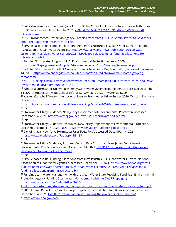<span id="page-17-0"></span><sup>13</sup> Infrastructure Investment and Jobs Act (HR 3684), Council of Infrastructure Finance Authorities (HR 3684), accessed December 14, 2021, [ce9ad4\\_272694c2147647d0960db9e75d0c8bee.pdf](https://d589cb58-d8ca-4feb-a9f3-c53a5a301572.filesusr.com/ugd/ce9ad4_272694c2147647d0960db9e75d0c8bee.pdf)  [\(filesusr.com\)](https://d589cb58-d8ca-4feb-a9f3-c53a5a301572.filesusr.com/ugd/ce9ad4_272694c2147647d0960db9e75d0c8bee.pdf)

<span id="page-17-1"></span><sup>14</sup> U.S. Environmental Protection Agency, **Sample Letter from U.S. EPA Administrator to Governors** [about the Bipartisan Infrastructure Law](https://www.epa.gov/system/files/documents/2021-12/governors-bil-letter-final-508.pdf)

<span id="page-17-2"></span><sup>15</sup> EPA Releases Initial Funding Allocations from Infrastructure Bill, Clean Water Current, National Association of Clean Water Agencies, [https://www.nacwa.org/news-publications/clean-water](https://www.nacwa.org/news-publications/clean-water-current-archives/clean-water-current/2021/12/08/epa-releases-initial-funding-allocations-from-infrastructure-bill)[current-archives/clean-water-current/2021/12/08/epa-releases-initial-funding-allocations-from](https://www.nacwa.org/news-publications/clean-water-current-archives/clean-water-current/2021/12/08/epa-releases-initial-funding-allocations-from-infrastructure-bill)[infrastructure-bill.](https://www.nacwa.org/news-publications/clean-water-current-archives/clean-water-current/2021/12/08/epa-releases-initial-funding-allocations-from-infrastructure-bill) 

<span id="page-17-3"></span><sup>16</sup> Funding Stormwater Programs, U.S. Environmental Protection Agency, 2009

<https://www3.epa.gov/region1/npdes/stormwater/assets/pdfs/FundingStormwater.pdf>

<span id="page-17-4"></span><sup>17</sup> Polluted Stormwater Runoff: A Growing Threat, Chesapeake Bay Foundation, accessed December 14, 2021, [https://www.cbf.org/issues/polluted-runoff/polluted-stormwater-runoff-a-growing](https://www.cbf.org/issues/polluted-runoff/polluted-stormwater-runoff-a-growing-threat.html)[threat.html](https://www.cbf.org/issues/polluted-runoff/polluted-stormwater-runoff-a-growing-threat.html)

<span id="page-17-5"></span><sup>18</sup> NRDC: Making It Rain - [Effective Stormwater Fees Can Create Jobs, Build Infrastructure, and Drive](https://www.nrdc.org/sites/default/files/stormwater-fees-ib.pdf)  [Investment in Local Communities \(PDF\)](https://www.nrdc.org/sites/default/files/stormwater-fees-ib.pdf)

<span id="page-17-6"></span><sup>19</sup> What is a Stormwater Utility? New Jersey Stormwater Utility Resource Center, accessed December 14, 2021, https://stormwaterutilities.njfuture.org/what-is-a-stormwater-utility-2/

<span id="page-17-7"></span><sup>20</sup> Warren Campbell, Western Kentucky University Stormwater Utility Survey 2020, Western Kentucky University,

<span id="page-17-8"></span>[https://digitalcommons.wku.edu/cgi/viewcontent.cgi?article=1002&context=seas\\_faculty\\_pubs](https://digitalcommons.wku.edu/cgi/viewcontent.cgi?article=1002&context=seas_faculty_pubs)   $21$  Ibid

<span id="page-17-9"></span><sup>22</sup> Stormwater Utility Guidance, New Jersey Department of Environmental Protection, accessed December 14, 2021, [https://www.nj.gov/dep/dwq/SWU\\_stormwaterutility.html](https://www.nj.gov/dep/dwq/SWU_stormwaterutility.html)  $23$  Ibid

<span id="page-17-11"></span><span id="page-17-10"></span><sup>24</sup> Stormwater Utility Guidance; Resources, New Jersey Department of Environmental Protection, accessed December 14, 2021, NJDEP | Stormwater Utility Guidance | Resources

<sup>24</sup> City of Ithaca, New York, Stormwater User Fees, FAO's accessed December 14, 2021, <https://www.cityofithaca.org/Faq.aspx?TID=37>

<span id="page-17-12"></span> $25$  Ibid

<span id="page-17-13"></span><sup>26</sup> Stormwater Utility Guidance, Pros and Cons of Rate Structures, New Jersey Department of Environmental Protection, accessed December 14, 2021, NIDEP | Stormwater Utility Guidance | [Developing Stormwater Fees & Credits](https://www.nj.gov/dep/dwq/SWU_fees_and_credits.html#headingOne1)

<span id="page-17-14"></span> $27$  Ibid

<span id="page-17-15"></span><sup>28</sup> EPA Releases Initial Funding Allocations from Infrastructure Bill, Clean Water Current, National Association of Clean Water Agencies, accessed December 14, 2021, [https://www.nacwa.org/news](https://www.nacwa.org/news-publications/clean-water-current-archives/clean-water-current/2021/12/08/epa-releases-initial-funding-allocations-from-infrastructure-bill)[publications/clean-water-current-archives/clean-water-current/2021/12/08/epa-releases-initial](https://www.nacwa.org/news-publications/clean-water-current-archives/clean-water-current/2021/12/08/epa-releases-initial-funding-allocations-from-infrastructure-bill)[funding-allocations-from-infrastructure-bill](https://www.nacwa.org/news-publications/clean-water-current-archives/clean-water-current/2021/12/08/epa-releases-initial-funding-allocations-from-infrastructure-bill)

<span id="page-17-16"></span> $29$  Funding Stormwater Management with the Clean Water State Revolving Fund, U.S. Environmental Protection Agency, [Funding Stormwater Management with the CWSRF \(epa.gov\)](https://www.epa.gov/sites/default/files/2016-11/documents/funding_stormwater_management_with_the_clean_water_state_revolving_fund.pdf) , [https://www.epa.gov/sites/default/files/2016-](https://www.epa.gov/sites/default/files/2016-11/documents/funding_stormwater_management_with_the_clean_water_state_revolving_fund.pdf)

<span id="page-17-18"></span><span id="page-17-17"></span>[11/documents/funding\\_stormwater\\_management\\_with\\_the\\_clean\\_water\\_state\\_revolving\\_fund.pdf](https://www.epa.gov/sites/default/files/2016-11/documents/funding_stormwater_management_with_the_clean_water_state_revolving_fund.pdf) <sup>30</sup> 2019 Annual Report: Building the Project Pipeline, Clean Water State Revolving Fund, accessed December 14, 2021, [CWSRF 2019 annual report: Building the project pipeline \(epa.gov\)](https://www.epa.gov/sites/default/files/2020-10/documents/2019_cwsrf_annual_report_9-10.pdf) <sup>31</sup> <https://www.epa.gov/cwsrf>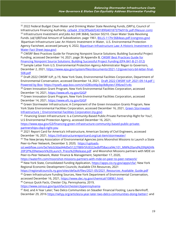<span id="page-18-1"></span><span id="page-18-0"></span><sup>32</sup> 2022 Federal Budget Clean Water and Drinking Water State Revolving Funds, (SRF's), Council of Infrastructure Financing Authority, [ce9ad4\\_37dc9f9a66f240189fd40187379e910c.pdf \(filesusr.com\)](https://d589cb58-d8ca-4feb-a9f3-c53a5a301572.filesusr.com/ugd/ce9ad4_37dc9f9a66f240189fd40187379e910c.pdf)  <sup>33</sup> Infrastructure Investment and Jobs Act (HR 3684), Section 50210. Clean Water State Revolving Funds. (a)(1)(B)Total Amount of Subsidization, page 1961, [BILLS-117hr3684eas.pdf \(congress.gov\)](https://www.congress.gov/117/bills/hr3684/BILLS-117hr3684eas.pdf) Bipartisan Infrastructure Law: An Historic Investment in Water, U.S. Environmental Protection Agency Factsheet, accessed January 4, 2022, Bipartisan Infrastructure Law: A Historic Investment in [Water Fact Sheet \(epa.gov\)](https://www.epa.gov/system/files/documents/2021-11/e-ow-bid-fact-sheet-final.508.pdf)

<span id="page-18-3"></span><span id="page-18-2"></span><sup>35</sup> CWSRF Best Practices Guide for Financing Nonpoint Source Solutions; Building Successful Project Funding, accessed December 14, 2021, page 36 Appendix B, [CWSRF Best Practices Guide for](https://www.epa.gov/system/files/documents/2021-12/cwsrf-nps-best-practices-guide.pdf)  [Financing Nonpoint Source Solutions: Building Successful Project Funding \(EPA 841-B-21-012\)](https://www.epa.gov/system/files/documents/2021-12/cwsrf-nps-best-practices-guide.pdf)

<span id="page-18-4"></span><sup>36</sup> Sample Letter from U.S. Environmental Protection Agency Administrator Regan to Governors, December 2, 2021[, https://www.epa.gov/system/files/documents/2021-12/governors-bil-letter-final-](https://www.epa.gov/system/files/documents/2021-12/governors-bil-letter-final-508.pdf)[508.pdf](https://www.epa.gov/system/files/documents/2021-12/governors-bil-letter-final-508.pdf)

<span id="page-18-5"></span><sup>37</sup> Draft 2022 CWSRF IUP, p.19, New York State, Environmental Facilities Corporation, Department of Environmental Conservation, accessed December 14, 2021, [Draft 2022 CWSRF IUP\\_2021-09-14.pdf |](https://nysefc.app.box.com/s/rd28lzzit6p3qc8dkytes1396zw31v4s)  [Powered by Box; https://nysefc.app.box.com/s/rd28lzzit6p3qc8dkytes1396zw31v4s](https://nysefc.app.box.com/s/rd28lzzit6p3qc8dkytes1396zw31v4s)

<span id="page-18-6"></span><sup>38</sup> Green Innovation Grant Program, New York Environmental Facilities Corporation, accessed December 14, 2021,<https://www.efc.ny.gov/GIGP>

<span id="page-18-7"></span><sup>39</sup> Green Innovation Grant Program, New York Environmental Facilities Corporation, accessed December 14, 2021,<https://www.efc.ny.gov/GIGP>

<span id="page-18-8"></span><sup>40</sup> Green Stormwater Infrastructure; A Component of the Green Innovation Grants Program, New York State Environmental Facilities Corporation, accessed December 16, 2021, Green Stormwater [Infrastructure | Environmental Facilities Corporation \(ny.gov\)](https://efc.ny.gov/green-stormwater-infrastructure) 

<span id="page-18-9"></span>41 Financing Green Infrastructure: Is a Community-Based Public-Private Partnership Right for You?, U.S Environmental Protection Agency, accessed December 16, 2021,

[https://www.epa.gov/G3/financing-green-infrastructure-community-based-public-private](https://www.epa.gov/G3/financing-green-infrastructure-community-based-public-private-partnerships-cbp3-right-you)[partnerships-cbp3-right-you](https://www.epa.gov/G3/financing-green-infrastructure-community-based-public-private-partnerships-cbp3-right-you)

<span id="page-18-10"></span><sup>42</sup> 2021 Report Card for America's Infrastructure, American Society of Civil Engineers, accessed December 16, 2021,<https://infrastructurereportcard.org/cat-item/stormwater/>

<span id="page-18-11"></span><sup>43</sup> The New Jersey Association of Environmental Agencies Joins Moonshot Missions to Launch a State Peer-to-Peer Network, December 3, 2020, [https://uploads-](https://uploads-ssl.webflow.com/5e7e6cb3dad44d5e51227889/5fc8322edbff58acce94c101_MM%20and%20NJAEA%20P2P%20Network%20Launch_Press%20Release.pdf)

[ssl.webflow.com/5e7e6cb3dad44d5e51227889/5fc8322edbff58acce94c101\\_MM%20and%20NJAEA%](https://uploads-ssl.webflow.com/5e7e6cb3dad44d5e51227889/5fc8322edbff58acce94c101_MM%20and%20NJAEA%20P2P%20Network%20Launch_Press%20Release.pdf) [20P2P%20Network%20Launch\\_Press%20Release.pdf](https://uploads-ssl.webflow.com/5e7e6cb3dad44d5e51227889/5fc8322edbff58acce94c101_MM%20and%20NJAEA%20P2P%20Network%20Launch_Press%20Release.pdf) and Moonshot Missions partners with MDE on Peer-to-Peer Network, Water Finance & Management, September 17, 2020,

<https://waterfm.com/moonshot-missions-partners-with-mde-on-peer-to-peer-network/>

<span id="page-18-12"></span><sup>44</sup> New York State, Consolidated Funding Application, [https://apps.cio.ny.gov/apps/cfa/;](https://apps.cio.ny.gov/apps/cfa/) New York Regional Economic Development Councils; Available CFA Resources, 2021

<span id="page-18-13"></span>https://regionalcouncils.ny.gov/sites/default/files/2021-05/2021\_Resources\_Available\_Guide.pdf <sup>45</sup> Green Infrastructure Funding Sources, New York Department of Environmental Conservation,

accessed December 16, 2021, [https://www.dec.ny.gov/chemical/108961.html.](https://www.dec.ny.gov/chemical/108961.html)

<span id="page-18-14"></span><sup>46</sup> Census Quick Facts, Chester City, Pennsylvania, 2019,

<https://www.census.gov/quickfacts/chestercitypennsylvania>

<span id="page-18-15"></span><sup>47</sup> Ibid, and A Year Later; Two Delco Communities on Steadier Financial Footing, Laura Bennhoff, December 29, 2016 [https://whyy.org/articles/a-year-later-two-delco-communities-doing-better/;](https://whyy.org/articles/a-year-later-two-delco-communities-doing-better/) and